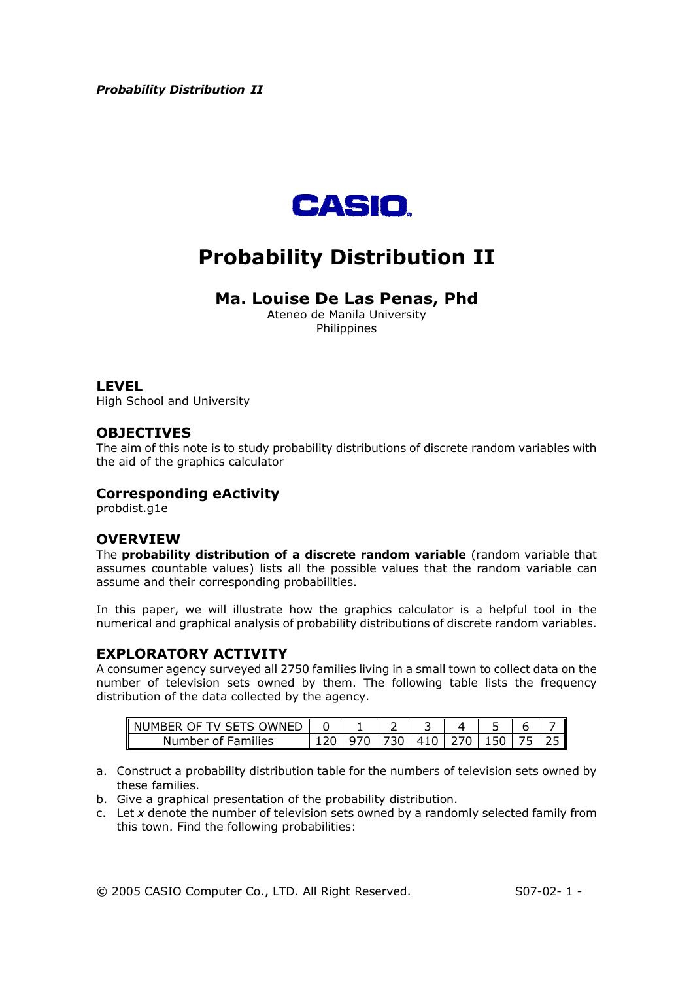

# **Probability Distribution II**

# **Ma. Louise De Las Penas, Phd**

Ateneo de Manila University Philippines

#### **LEVEL**

High School and University

# **OBJECTIVES**

The aim of this note is to study probability distributions of discrete random variables with the aid of the graphics calculator

# **Corresponding eActivity**

probdist.g1e

# **OVERVIEW**

The **probability distribution of a discrete random variable** (random variable that assumes countable values) lists all the possible values that the random variable can assume and their corresponding probabilities.

In this paper, we will illustrate how the graphics calculator is a helpful tool in the numerical and graphical analysis of probability distributions of discrete random variables.

# **EXPLORATORY ACTIVITY**

A consumer agency surveyed all 2750 families living in a small town to collect data on the number of television sets owned by them. The following table lists the frequency distribution of the data collected by the agency.

| <b>IMNED</b><br>NUMBER.<br>$\mathbf{H}$<br><b>SFISI</b> |     | ۰ |  |    |  |
|---------------------------------------------------------|-----|---|--|----|--|
| Families<br>Numb<br>unher f<br>∩t                       | . . |   |  | ь. |  |

- a. Construct a probability distribution table for the numbers of television sets owned by these families.
- b. Give a graphical presentation of the probability distribution.
- c. Let *x* denote the number of television sets owned by a randomly selected family from this town. Find the following probabilities: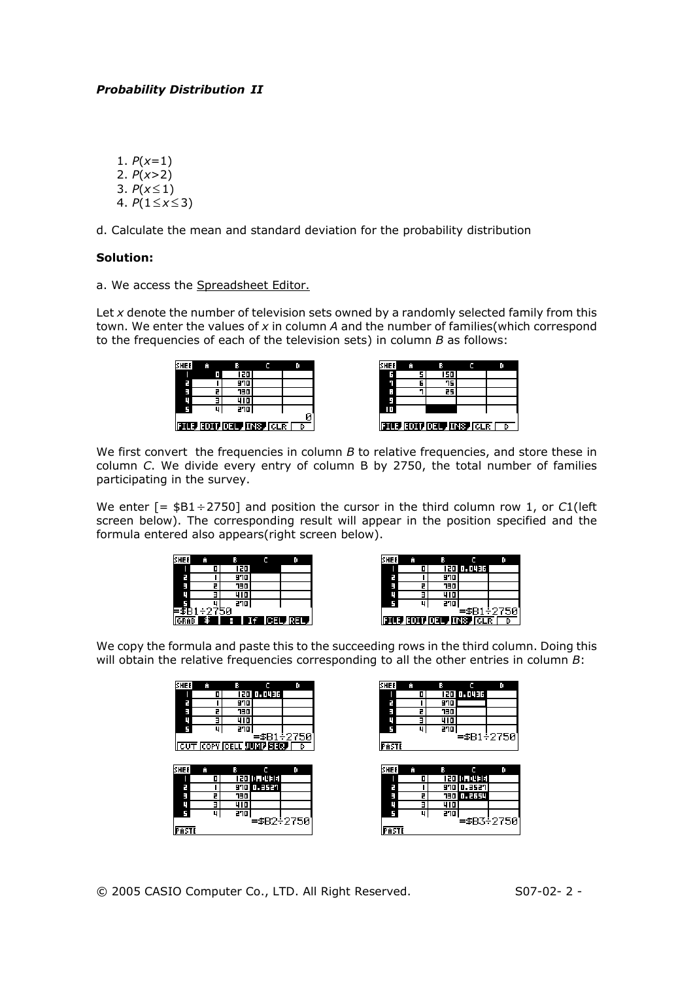1.  $P(x=1)$ 2. *P*(*x*>2) 3.  $P(x \le 1)$ 4.  $P(1≤x≤3)$ 

d. Calculate the mean and standard deviation for the probability distribution

#### **Solution:**

a. We access the Spreadsheet Editor.

Let *x* denote the number of television sets owned by a randomly selected family from this town. We enter the values of *x* in column *A* and the number of families(which correspond to the frequencies of each of the television sets) in column *B* as follows:

| <b>SHEE</b>                              | Ĥ |            |  |  |  |  |  |
|------------------------------------------|---|------------|--|--|--|--|--|
|                                          |   | 120        |  |  |  |  |  |
| Е                                        |   | 970        |  |  |  |  |  |
| E                                        |   | <b>TEP</b> |  |  |  |  |  |
| ц                                        |   | 410        |  |  |  |  |  |
|                                          |   | 270        |  |  |  |  |  |
| ø<br><b>FILE FOTT DELP INSPICER</b><br>D |   |            |  |  |  |  |  |

| <b>SHEE</b> |   |                         |   |
|-------------|---|-------------------------|---|
|             |   | 150                     |   |
|             | 6 | 75.                     |   |
| Е           |   | 25                      |   |
| Е           |   |                         |   |
|             |   |                         |   |
|             |   |                         |   |
|             |   | F117 F1017021 F178 F175 | D |
|             |   |                         |   |

We first convert the frequencies in column *B* to relative frequencies, and store these in column *C*. We divide every entry of column B by 2750, the total number of families participating in the survey.

We enter [= \$B1 ÷2750] and position the cursor in the third column row 1, or *C*1(left screen below). The corresponding result will appear in the position specified and the formula entered also appears(right screen below).

| <b>SHEE</b> | Ĥ     | в   |           | D |
|-------------|-------|-----|-----------|---|
|             |       | 120 |           |   |
| E           |       | 970 |           |   |
| E           | 2     | OEr |           |   |
| Ц           |       | 410 |           |   |
|             |       | 270 |           |   |
| ≡≸B1        | ÷2750 |     |           |   |
| GRAB        | 锓     | 9.  | If CELREL |   |

| <b>SHEE</b> |            |                       |            |
|-------------|------------|-----------------------|------------|
|             |            | १२० ०. व्यवस          |            |
| 7           | 970        |                       |            |
| E           | <b>730</b> |                       |            |
| ц           | 410        |                       |            |
|             | 270        |                       |            |
|             |            |                       | =\$B1÷2750 |
|             |            | FILE EDIT DEL INS GLR | D          |

We copy the formula and paste this to the succeeding rows in the third column. Doing this will obtain the relative frequencies corresponding to all the other entries in column *B*:

| <b>SHEE</b> | Ĥ  | ß.         | c                                   | O          |
|-------------|----|------------|-------------------------------------|------------|
|             | 01 |            | 120 0.0436                          |            |
| F           |    | 970        |                                     |            |
| Ξ           |    | <b>730</b> |                                     |            |
| u           |    | 410        |                                     |            |
|             | 4  | 270        |                                     |            |
|             |    |            |                                     | =\$B1÷2750 |
|             |    |            | <b>FOUT COPY FORLE JUINT SEQUEL</b> |            |
|             |    |            |                                     |            |
|             |    |            |                                     |            |
| <b>SHEE</b> | Ĥ  | 8          |                                     | O          |
|             | 0  |            | 120 10. 0436                        |            |
| E           |    |            | 970 0.3521                          |            |
| Ξ           | 2  | <b>DEC</b> |                                     |            |
| U           | Е  | 410        |                                     |            |
|             | u  | 270        |                                     |            |
| PASTE       |    |            | =\$B2÷2750ì                         |            |

© 2005 CASIO Computer Co., LTD. All Right Reserved. S07-02- 2 -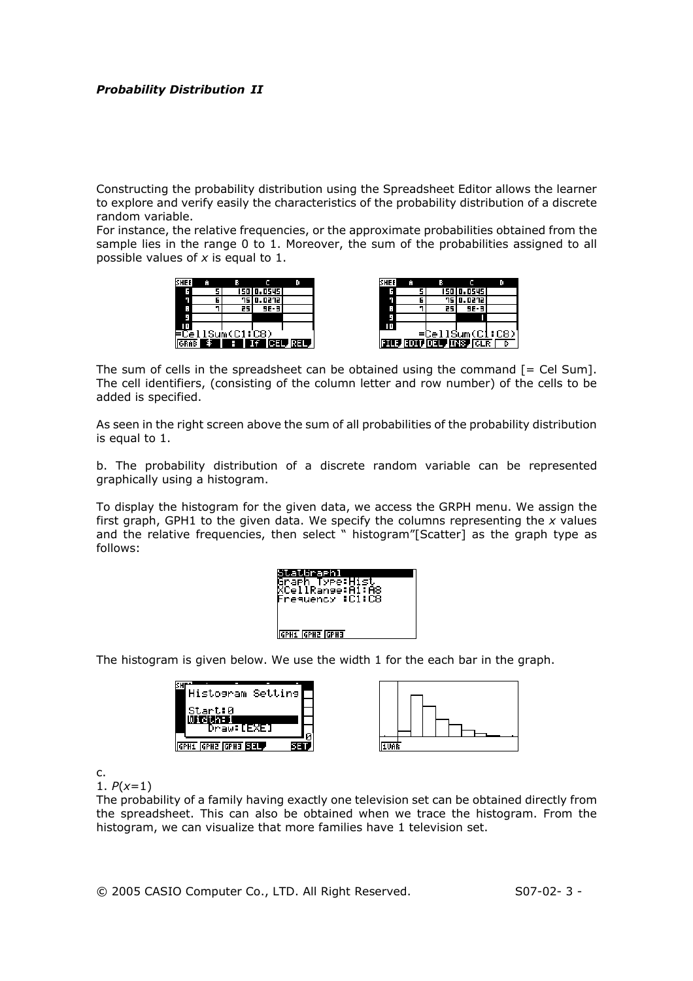Constructing the probability distribution using the Spreadsheet Editor allows the learner to explore and verify easily the characteristics of the probability distribution of a discrete random variable.

For instance, the relative frequencies, or the approximate probabilities obtained from the sample lies in the range 0 to 1. Moreover, the sum of the probabilities assigned to all possible values of *x* is equal to 1.

| <b>SHEE</b> | Ĥ |                 |                  |            |
|-------------|---|-----------------|------------------|------------|
| 6           |   |                 | 150 0.0545       |            |
|             |   |                 | <b>75 0.0272</b> |            |
| Е           |   | 25              | 9E-3             |            |
|             |   |                 |                  |            |
|             |   |                 |                  |            |
|             |   | =CellSum(C1:C8) |                  |            |
|             |   | я               |                  | If CELREL, |

| SHEE |   |                       |            |  |
|------|---|-----------------------|------------|--|
|      |   |                       | 150 0.0545 |  |
|      | 6 |                       | 75 0.0272  |  |
| П    |   | 25                    | $9E - 3$   |  |
|      |   |                       |            |  |
|      |   |                       |            |  |
|      |   | =CellSum(C1:C8)       |            |  |
|      |   | FILE FOIT DEL INS CLR |            |  |

The sum of cells in the spreadsheet can be obtained using the command  $[=$  Cel Sum]. The cell identifiers, (consisting of the column letter and row number) of the cells to be added is specified.

As seen in the right screen above the sum of all probabilities of the probability distribution is equal to 1.

b. The probability distribution of a discrete random variable can be represented graphically using a histogram.

To display the histogram for the given data, we access the GRPH menu. We assign the first graph, GPH1 to the given data. We specify the columns representing the *x* values and the relative frequencies, then select " histogram"[Scatter] as the graph type as follows:



The histogram is given below. We use the width 1 for the each bar in the graph.

| Histogram Setting          |  |  |
|----------------------------|--|--|
| Start:0                    |  |  |
| Draw:[EXE]                 |  |  |
| GPH1 GPH2 GPH3 <b>SI3L</b> |  |  |



c.

1. *P*(*x*=1)

The probability of a family having exactly one television set can be obtained directly from the spreadsheet. This can also be obtained when we trace the histogram. From the histogram, we can visualize that more families have 1 television set.

© 2005 CASIO Computer Co., LTD. All Right Reserved. S07-02- 3 -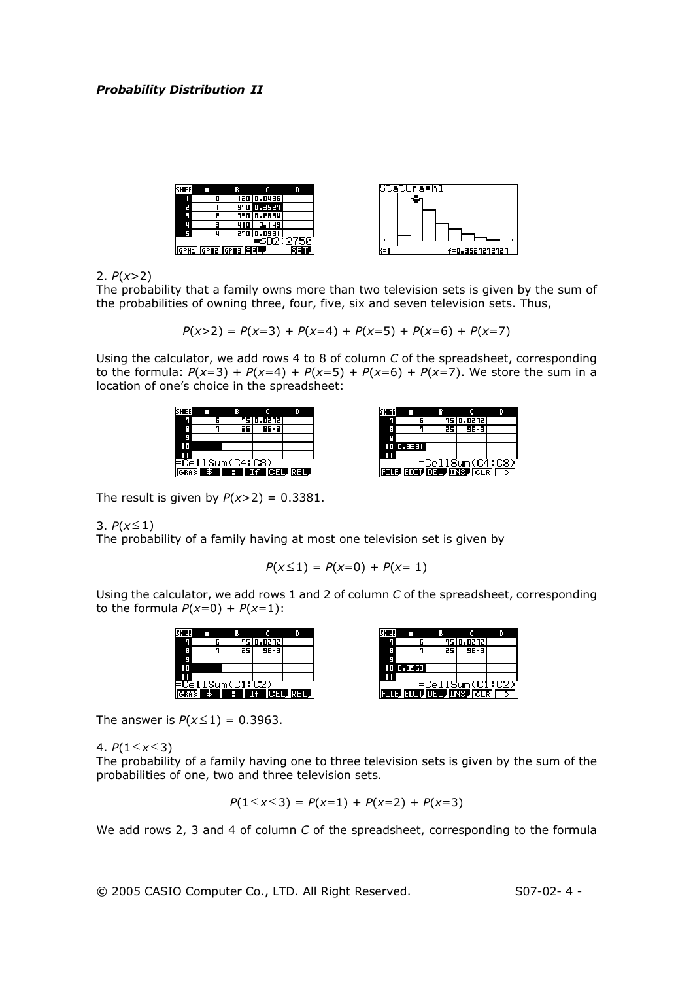

2. *P*(*x*>2)

The probability that a family owns more than two television sets is given by the sum of the probabilities of owning three, four, five, six and seven television sets. Thus,

 $P(x>2) = P(x=3) + P(x=4) + P(x=5) + P(x=6) + P(x=7)$ 

Using the calculator, we add rows 4 to 8 of column *C* of the spreadsheet, corresponding to the formula:  $P(x=3) + P(x=4) + P(x=5) + P(x=6) + P(x=7)$ . We store the sum in a location of one's choice in the spreadsheet:





The result is given by  $P(x>2) = 0.3381$ .

3.  $P(x \le 1)$ 

The probability of a family having at most one television set is given by

$$
P(x \le 1) = P(x=0) + P(x=1)
$$

Using the calculator, we add rows 1 and 2 of column *C* of the spreadsheet, corresponding to the formula  $P(x=0) + P(x=1)$ :

|  |                 | 75 0.0272 |  |
|--|-----------------|-----------|--|
|  |                 | $9E - 3$  |  |
|  |                 |           |  |
|  |                 |           |  |
|  | =CellSum(C1:C2) |           |  |
|  |                 |           |  |

| <b>SHEE</b> | Ĥ         |    |                               |                 |
|-------------|-----------|----|-------------------------------|-----------------|
|             | 61        |    | 75 0.0272                     |                 |
|             |           | 25 | 9E-3                          |                 |
|             |           |    |                               |                 |
|             | 10 0.3963 |    |                               |                 |
|             |           |    |                               |                 |
|             |           |    |                               | =CellSum(C1:C2) |
|             |           |    | <b>FILE FOTT OF L TNS CLR</b> |                 |

The answer is  $P(x \le 1) = 0.3963$ .

4.  $P(1≤x≤3)$ 

The probability of a family having one to three television sets is given by the sum of the probabilities of one, two and three television sets.

$$
P(1 \le x \le 3) = P(x=1) + P(x=2) + P(x=3)
$$

We add rows 2, 3 and 4 of column *C* of the spreadsheet, corresponding to the formula

© 2005 CASIO Computer Co., LTD. All Right Reserved. S07-02- 4 -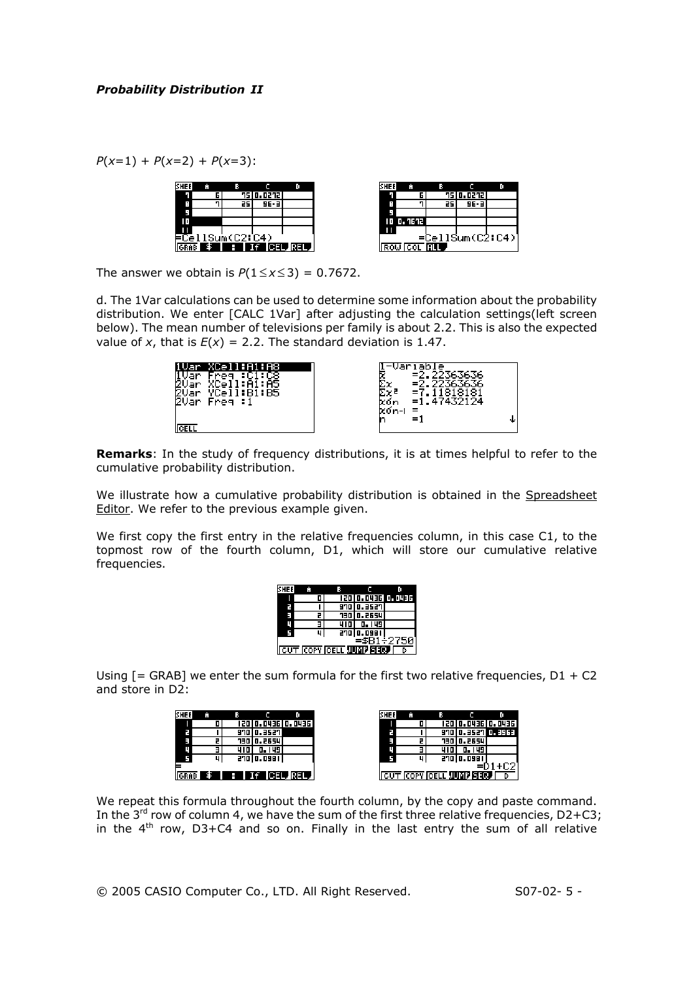*P*(*x*=1) + *P*(*x*=2) + *P*(*x*=3):

|  |                 | <b>75 0.0272</b> |           |  |
|--|-----------------|------------------|-----------|--|
|  |                 | 9E-3             |           |  |
|  |                 |                  |           |  |
|  |                 |                  |           |  |
|  | =CellSum(C2:C4) |                  | If CELREL |  |



The answer we obtain is  $P(1 \le x \le 3) = 0.7672$ .

d. The 1Var calculations can be used to determine some information about the probability distribution. We enter [CALC 1Var] after adjusting the calculation settings(left screen below). The mean number of televisions per family is about 2.2. This is also the expected value of *x*, that is  $E(x) = 2.2$ . The standard deviation is 1.47.

| :Bī:B5<br>s<br>20ār<br>Free 1 | ar<br>е<br>マウ<br>XOn<br>Xoʻn-L<br>$=$<br>=1<br>n |
|-------------------------------|--------------------------------------------------|
|                               |                                                  |

**Remarks**: In the study of frequency distributions, it is at times helpful to refer to the cumulative probability distribution.

We illustrate how a cumulative probability distribution is obtained in the Spreadsheet Editor. We refer to the previous example given.

We first copy the first entry in the relative frequencies column, in this case C1, to the topmost row of the fourth column, D1, which will store our cumulative relative frequencies.

|  |                                |            | 120 0.0436 0.0436 |
|--|--------------------------------|------------|-------------------|
|  |                                | 970 0.3527 |                   |
|  |                                | 730 0.2654 |                   |
|  |                                |            |                   |
|  |                                | 270 0.098  |                   |
|  |                                |            | =\$B1÷2750        |
|  | <b>CUT COPY CELL JUNE FIRE</b> |            |                   |

Using  $[=$  GRAB] we enter the sum formula for the first two relative frequencies,  $D1 + C2$ and store in D2:

| SHEE        | Ĥ  | в       |             |                                 |
|-------------|----|---------|-------------|---------------------------------|
|             | 0  |         |             | 120 0.0436 0.0436               |
| 2           |    |         | 970 0.3527  |                                 |
| ш           |    |         | 730 0.2654  |                                 |
|             |    | 4 I 0 I | 0. 149      |                                 |
|             | 41 |         | 270 0.098 1 |                                 |
|             |    |         |             |                                 |
| <b>GRAB</b> |    |         |             | $$ \cdot \cdot \cdot$ If CELREL |

We repeat this formula throughout the fourth column, by the copy and paste command. In the  $3^{rd}$  row of column 4, we have the sum of the first three relative frequencies, D2+C3; in the  $4<sup>th</sup>$  row, D3+C4 and so on. Finally in the last entry the sum of all relative

© 2005 CASIO Computer Co., LTD. All Right Reserved. S07-02- 5 -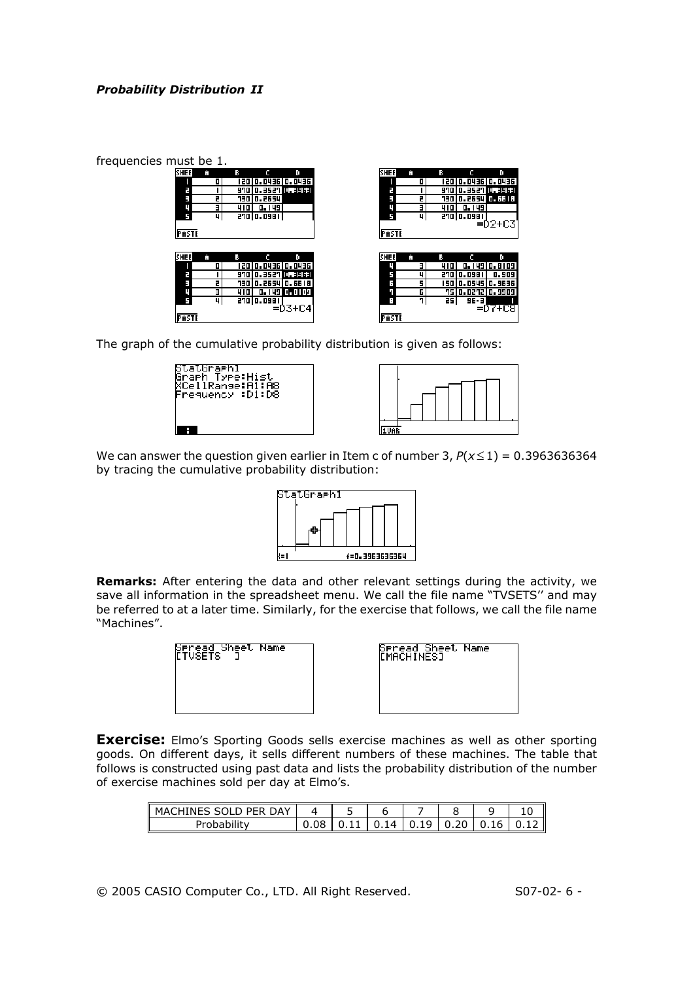| frequencies must be 1. |                   |                    |             |   |      |                    |              |
|------------------------|-------------------|--------------------|-------------|---|------|--------------------|--------------|
| <b>SHEE</b><br>Й       | в                 | o                  | <b>SHEE</b> | Ĥ |      |                    | o            |
|                        |                   | 120 0.0436 0.0436  |             |   |      | 120 0.0436 0.0436  |              |
|                        |                   | 970 0.3527 0.3963  |             |   |      | 970 0.3527 0.396   |              |
|                        | <b>730 0.2654</b> |                    |             |   |      | 130 0.2654 0.551 3 |              |
|                        | 4101              | 0. 149             |             |   | 4101 | 0.149              |              |
| 4                      | 270 0.098 1       |                    |             | п |      | 270 0.098 1        |              |
|                        |                   |                    |             |   |      |                    | $=02+03$     |
| PASTE                  |                   |                    | PASTE       |   |      |                    |              |
|                        |                   |                    |             |   |      |                    |              |
| <b>SHEE</b><br>Ĥ       | в                 | D                  | <b>SHEE</b> | Ĥ |      |                    | o            |
|                        |                   | 120 0.0436 0.0436  |             |   | 410  |                    | 0.149 0.8109 |
| 日                      |                   | 970 0.3527 0.39631 |             | u |      | 270 0.098 1        | 0.909        |
| ш                      |                   | 730 0.2654 0.6618  |             |   |      | 150 0.0545 0.9636  |              |
|                        |                   | 410 0.149 0.8109   |             | Б |      | 75 0.0272 0.9909   |              |
| 41                     | 270 0.098 1       |                    |             |   | 25   | 9E-3               |              |
|                        |                   | $=$ $D3 + C4$      |             |   |      |                    | =07+08       |
| PASTE                  |                   |                    | PASTE       |   |      |                    |              |

The graph of the cumulative probability distribution is given as follows:

| StatGraehl<br>Sraeh Type:Hist<br>XCellRanse:A1:A8<br>Frequency :Dí:D8 |  |
|-----------------------------------------------------------------------|--|
|                                                                       |  |



We can answer the question given earlier in Item c of number 3,  $P(x \le 1) = 0.3963636364$ by tracing the cumulative probability distribution:



**Remarks:** After entering the data and other relevant settings during the activity, we save all information in the spreadsheet menu. We call the file name "TVSETS'' and may be referred to at a later time. Similarly, for the exercise that follows, we call the file name "Machines".

| Seread Sheet Name<br>[TVSETS ] | Spread Sheet Name<br>[MACHINES] |  |
|--------------------------------|---------------------------------|--|
|                                |                                 |  |
|                                |                                 |  |

**Exercise:** Elmo's Sporting Goods sells exercise machines as well as other sporting goods. On different days, it sells different numbers of these machines. The table that follows is constructed using past data and lists the probability distribution of the number of exercise machines sold per day at Elmo's.

| MACHINES SOLD PER DAY | سه |           |   |          |  |
|-----------------------|----|-----------|---|----------|--|
| Probability           |    | 14<br>- 1 | u | -6<br>U. |  |

© 2005 CASIO Computer Co., LTD. All Right Reserved. S07-02- 6 -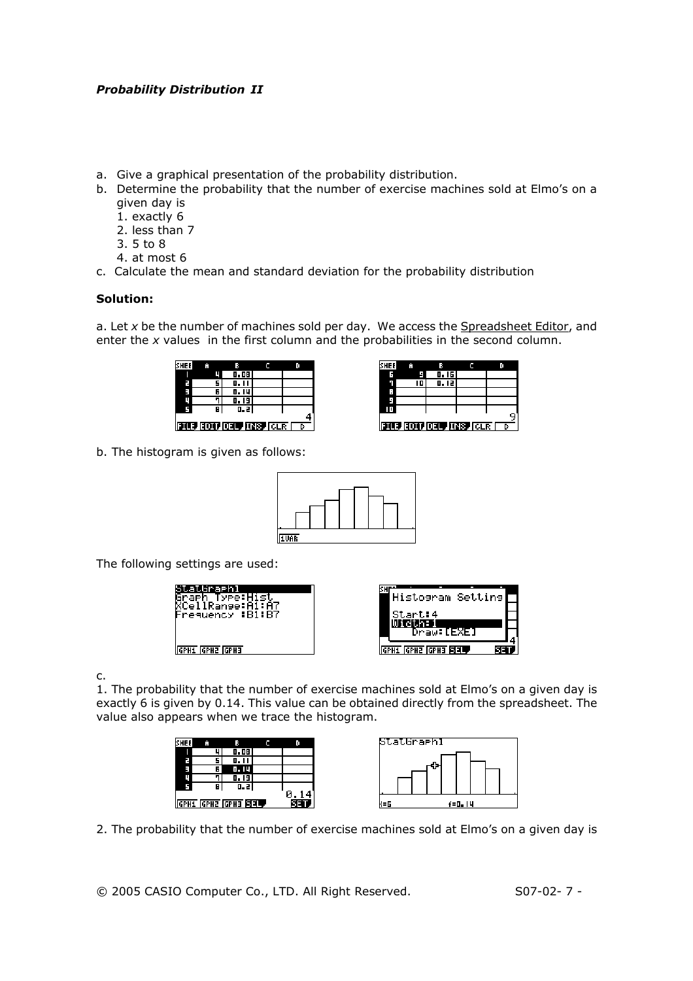- a. Give a graphical presentation of the probability distribution.
- b. Determine the probability that the number of exercise machines sold at Elmo's on a given day is
	- 1. exactly 6
	- 2. less than 7
	- 3. 5 to 8
	- 4. at most 6
- c. Calculate the mean and standard deviation for the probability distribution

#### **Solution:**

a. Let *x* be the number of machines sold per day. We access the Spreadsheet Editor, and enter the *x* values in the first column and the probabilities in the second column.

| <b>SHEE</b>                       |   |        |  |  |  |  |  |  |
|-----------------------------------|---|--------|--|--|--|--|--|--|
|                                   |   | 0.08   |  |  |  |  |  |  |
| r.                                |   | 0. I I |  |  |  |  |  |  |
| ŧ,                                | 6 | 0. 14  |  |  |  |  |  |  |
|                                   |   | 0. I 9 |  |  |  |  |  |  |
|                                   | в | 0.2    |  |  |  |  |  |  |
| <b>FILE EDIT DEL TNS CLR</b><br>ь |   |        |  |  |  |  |  |  |



b. The histogram is given as follows:



The following settings are used:



c.

1. The probability that the number of exercise machines sold at Elmo's on a given day is exactly 6 is given by 0.14. This value can be obtained directly from the spreadsheet. The value also appears when we trace the histogram.



2. The probability that the number of exercise machines sold at Elmo's on a given day is

© 2005 CASIO Computer Co., LTD. All Right Reserved. S07-02- 7 -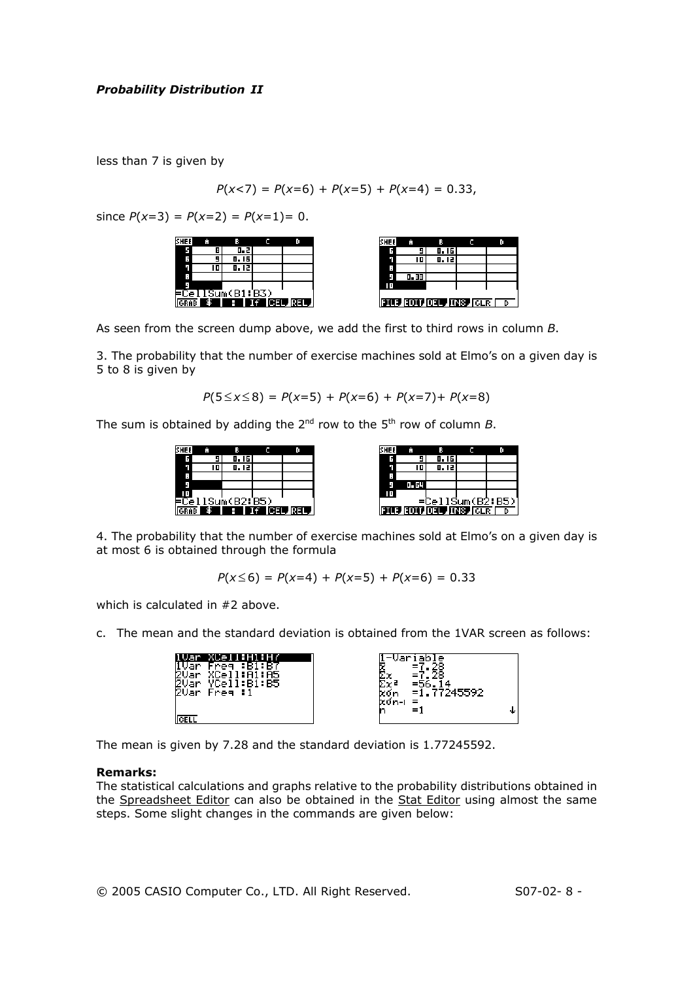less than 7 is given by

$$
P(x<7) = P(x=6) + P(x=5) + P(x=4) = 0.33,
$$

since  $P(x=3) = P(x=2) = P(x=1) = 0$ .



As seen from the screen dump above, we add the first to third rows in column *B*.

3. The probability that the number of exercise machines sold at Elmo's on a given day is 5 to 8 is given by

 $P(5 \le x \le 8) = P(x=5) + P(x=6) + P(x=7) + P(x=8)$ 

The sum is obtained by adding the  $2^{nd}$  row to the  $5^{th}$  row of column *B*.

| <b>SHEE</b> |     |                         |                     |
|-------------|-----|-------------------------|---------------------|
| G           |     | 0.16                    |                     |
|             |     | 0.12                    |                     |
| ።           |     |                         |                     |
|             |     |                         |                     |
|             |     |                         |                     |
|             |     | <u> =CellSum(B2:B5)</u> |                     |
|             | \$⊺ |                         | <b>E</b> If CEL REL |

| SHEE |       |                               |                  |
|------|-------|-------------------------------|------------------|
| G    |       | 0.16                          |                  |
|      |       | 0.12                          |                  |
| Е    |       |                               |                  |
| Ξ    | 0. 54 |                               |                  |
| ם ו  |       |                               |                  |
|      |       |                               | =CellSum(B2:B5)] |
|      |       | <b>FILE FOIL OF LINS IGLE</b> |                  |

4. The probability that the number of exercise machines sold at Elmo's on a given day is at most 6 is obtained through the formula

$$
P(x \le 6) = P(x=4) + P(x=5) + P(x=6) = 0.33
$$

which is calculated in #2 above.

c. The mean and the standard deviation is obtained from the 1VAR screen as follows:

| xón-i<br>- 11<br>$=1$ |
|-----------------------|
|-----------------------|

The mean is given by 7.28 and the standard deviation is 1.77245592.

#### **Remarks:**

The statistical calculations and graphs relative to the probability distributions obtained in the Spreadsheet Editor can also be obtained in the Stat Editor using almost the same steps. Some slight changes in the commands are given below: